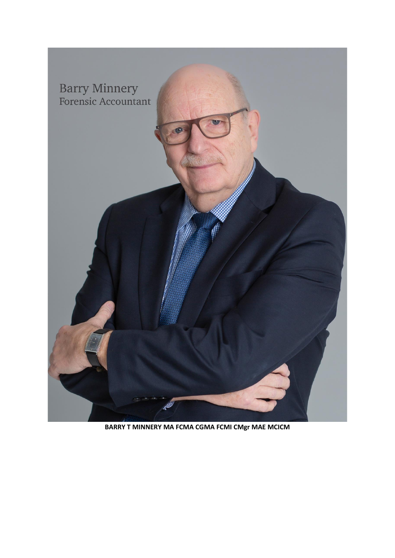

BARRY T MINNERY MA FCMA CGMA FCMI CMgr MAE MCICM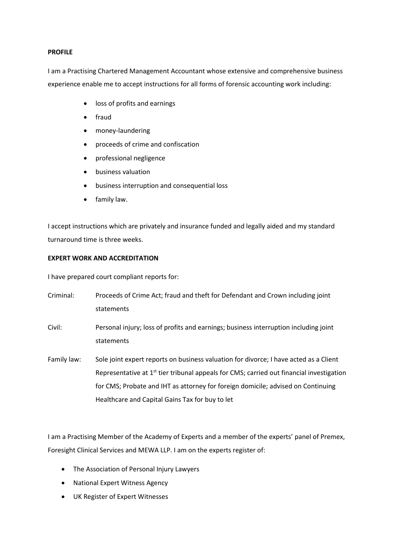## **PROFILE**

I am a Practising Chartered Management Accountant whose extensive and comprehensive business experience enable me to accept instructions for all forms of forensic accounting work including:

- loss of profits and earnings
- fraud
- money-laundering
- proceeds of crime and confiscation
- professional negligence
- business valuation
- business interruption and consequential loss
- family law.

I accept instructions which are privately and insurance funded and legally aided and my standard turnaround time is three weeks.

## **EXPERT WORK AND ACCREDITATION**

I have prepared court compliant reports for:

| Criminal:   | Proceeds of Crime Act; fraud and theft for Defendant and Crown including joint<br>statements                                                                                                                                                                                                                                         |
|-------------|--------------------------------------------------------------------------------------------------------------------------------------------------------------------------------------------------------------------------------------------------------------------------------------------------------------------------------------|
| Civil:      | Personal injury; loss of profits and earnings; business interruption including joint<br>statements                                                                                                                                                                                                                                   |
| Family law: | Sole joint expert reports on business valuation for divorce; I have acted as a Client<br>Representative at 1 <sup>st</sup> tier tribunal appeals for CMS; carried out financial investigation<br>for CMS; Probate and IHT as attorney for foreign domicile; advised on Continuing<br>Healthcare and Capital Gains Tax for buy to let |

I am a Practising Member of the Academy of Experts and a member of the experts' panel of Premex, Foresight Clinical Services and MEWA LLP. I am on the experts register of:

- The Association of Personal Injury Lawyers
- National Expert Witness Agency
- UK Register of Expert Witnesses